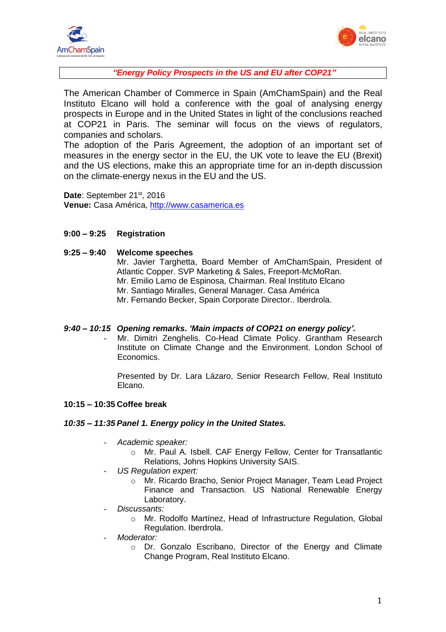



*"Energy Policy Prospects in the US and EU after COP21"*

The American Chamber of Commerce in Spain (AmChamSpain) and the Real Instituto Elcano will hold a conference with the goal of analysing energy prospects in Europe and in the United States in light of the conclusions reached at COP21 in Paris. The seminar will focus on the views of regulators, companies and scholars.

The adoption of the Paris Agreement, the adoption of an important set of measures in the energy sector in the EU, the UK vote to leave the EU (Brexit) and the US elections, make this an appropriate time for an in-depth discussion on the climate-energy nexus in the EU and the US.

Date: September 21<sup>st</sup>, 2016 **Venue:** Casa América, [http://www.casamerica.es](http://www.casamerica.es/)

# **9:00 – 9:25 Registration**

## **9:25 – 9:40 Welcome speeches**

Mr. Javier Targhetta, Board Member of AmChamSpain, President of Atlantic Copper. SVP Marketing & Sales, Freeport-McMoRan. Mr. Emilio Lamo de Espinosa, Chairman. Real Instituto Elcano Mr. Santiago Miralles, General Manager. Casa América Mr. Fernando Becker, Spain Corporate Director.. Iberdrola.

## *9:40 – 10:15 Opening remarks***.** *'Main impacts of COP21 on energy policy'.*

Mr. Dimitri Zenghelis. Co-Head Climate Policy. Grantham Research Institute on Climate Change and the Environment. London School of Economics.

Presented by Dr. Lara Lázaro, Senior Research Fellow, Real Instituto Elcano.

## **10:15 – 10:35 Coffee break**

#### *10:35 – 11:35 Panel 1. Energy policy in the United States.*

- *Academic speaker:*
	- o Mr. Paul A. Isbell. CAF Energy Fellow, Center for Transatlantic Relations, Johns Hopkins University SAIS.
- *US Regulation expert:*
	- o Mr. Ricardo Bracho, Senior Project Manager, Team Lead Project Finance and Transaction. US National Renewable Energy Laboratory.
- *Discussants:*
	- o Mr. Rodolfo Martínez, Head of Infrastructure Regulation, Global Regulation. Iberdrola.
- *Moderator:*
	- o Dr. Gonzalo Escribano, Director of the Energy and Climate Change Program, Real Instituto Elcano.